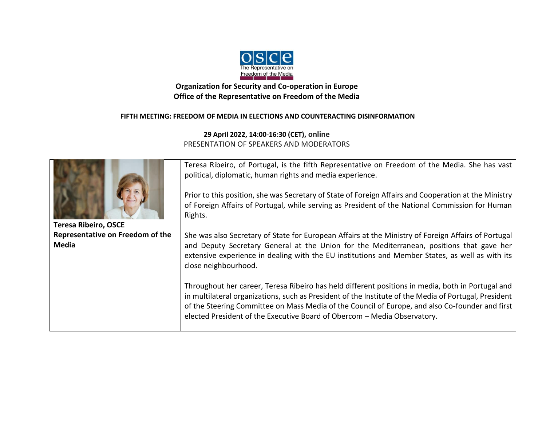

## **Organization for Security and Co-operation in Europe Office of the Representative on Freedom of the Media**

## **FIFTH MEETING: FREEDOM OF MEDIA IN ELECTIONS AND COUNTERACTING DISINFORMATION**

**29 April 2022, 14:00-16:30 (CET), online** PRESENTATION OF SPEAKERS AND MODERATORS



**Teresa Ribeiro, OSCE Representative on Freedom of the Media**

Teresa Ribeiro, of Portugal, is the fifth Representative on Freedom of the Media. She has vast political, diplomatic, human rights and media experience.

Prior to this position, she was Secretary of State of Foreign Affairs and Cooperation at the Ministry of Foreign Affairs of Portugal, while serving as President of the National Commission for Human Rights.

She was also Secretary of State for European Affairs at the Ministry of Foreign Affairs of Portugal and Deputy Secretary General at the Union for the Mediterranean, positions that gave her extensive experience in dealing with the EU institutions and Member States, as well as with its close neighbourhood.

Throughout her career, Teresa Ribeiro has held different positions in media, both in Portugal and in multilateral organizations, such as President of the Institute of the Media of Portugal, President of the Steering Committee on Mass Media of the Council of Europe, and also Co-founder and first elected President of the Executive Board of Obercom – Media Observatory.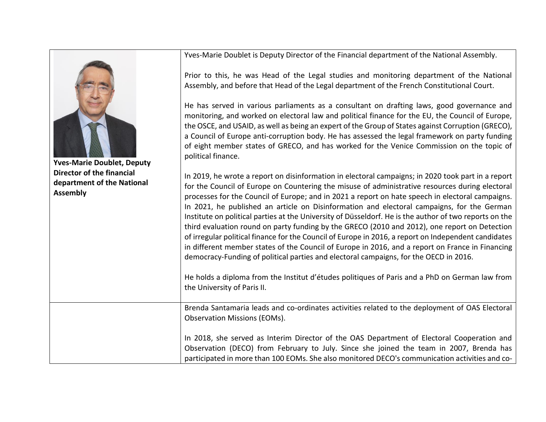Yves-Marie Doublet is Deputy Director of the Financial department of the National Assembly.



**Yves-Marie Doublet, Deputy Director of the financial department of the National Assembly**

Prior to this, he was Head of the Legal studies and monitoring department of the National Assembly, and before that Head of the Legal department of the French Constitutional Court.

He has served in various parliaments as a consultant on drafting laws, good governance and monitoring, and worked on electoral law and political finance for the EU, the Council of Europe, the OSCE, and USAID, as well as being an expert of the Group of States against Corruption (GRECO), a Council of Europe anti-corruption body. He has assessed the legal framework on party funding of eight member states of GRECO, and has worked for the Venice Commission on the topic of political finance.

In 2019, he wrote a report on disinformation in electoral campaigns; in 2020 took part in a report for the Council of Europe on Countering the misuse of administrative resources during electoral processes for the Council of Europe; and in 2021 a report on hate speech in electoral campaigns. In 2021, he published an article on Disinformation and electoral campaigns, for the German Institute on political parties at the University of Düsseldorf. He is the author of two reports on the third evaluation round on party funding by the GRECO (2010 and 2012), one report on Detection of irregular political finance for the Council of Europe in 2016, a report on Independent candidates in different member states of the Council of Europe in 2016, and a report on France in Financing democracy-Funding of political parties and electoral campaigns, for the OECD in 2016.

He holds a diploma from the Institut d'études politiques of Paris and a PhD on German law from the University of Paris II.

Brenda Santamaria leads and co-ordinates activities related to the deployment of OAS Electoral Observation Missions (EOMs).

In 2018, she served as Interim Director of the OAS Department of Electoral Cooperation and Observation (DECO) from February to July. Since she joined the team in 2007, Brenda has participated in more than 100 EOMs. She also monitored DECO's communication activities and co-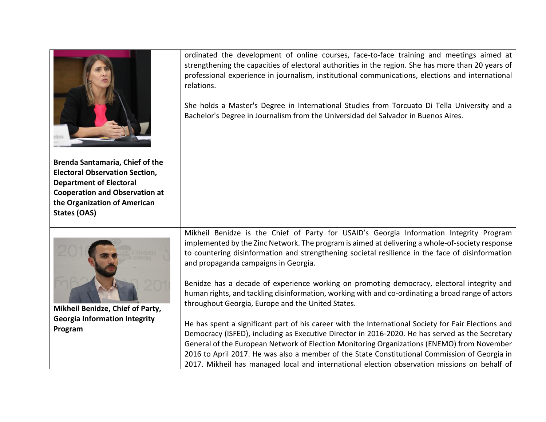| <b>Brenda Santamaria, Chief of the</b><br><b>Electoral Observation Section,</b><br><b>Department of Electoral</b><br><b>Cooperation and Observation at</b><br>the Organization of American<br><b>States (OAS)</b> | ordinated the development of online courses, face-to-face training and meetings aimed at<br>strengthening the capacities of electoral authorities in the region. She has more than 20 years of<br>professional experience in journalism, institutional communications, elections and international<br>relations.<br>She holds a Master's Degree in International Studies from Torcuato Di Tella University and a<br>Bachelor's Degree in Journalism from the Universidad del Salvador in Buenos Aires. |
|-------------------------------------------------------------------------------------------------------------------------------------------------------------------------------------------------------------------|--------------------------------------------------------------------------------------------------------------------------------------------------------------------------------------------------------------------------------------------------------------------------------------------------------------------------------------------------------------------------------------------------------------------------------------------------------------------------------------------------------|
|                                                                                                                                                                                                                   | Mikheil Benidze is the Chief of Party for USAID's Georgia Information Integrity Program<br>implemented by the Zinc Network. The program is aimed at delivering a whole-of-society response<br>to countering disinformation and strengthening societal resilience in the face of disinformation<br>and propaganda campaigns in Georgia.                                                                                                                                                                 |
| Mikheil Benidze, Chief of Party,                                                                                                                                                                                  | Benidze has a decade of experience working on promoting democracy, electoral integrity and<br>human rights, and tackling disinformation, working with and co-ordinating a broad range of actors<br>throughout Georgia, Europe and the United States.                                                                                                                                                                                                                                                   |
| <b>Georgia Information Integrity</b><br>Program                                                                                                                                                                   | He has spent a significant part of his career with the International Society for Fair Elections and<br>Democracy (ISFED), including as Executive Director in 2016-2020. He has served as the Secretary<br>General of the European Network of Election Monitoring Organizations (ENEMO) from November<br>2016 to April 2017. He was also a member of the State Constitutional Commission of Georgia in                                                                                                  |

2017. Mikheil has managed local and international election observation missions on behalf of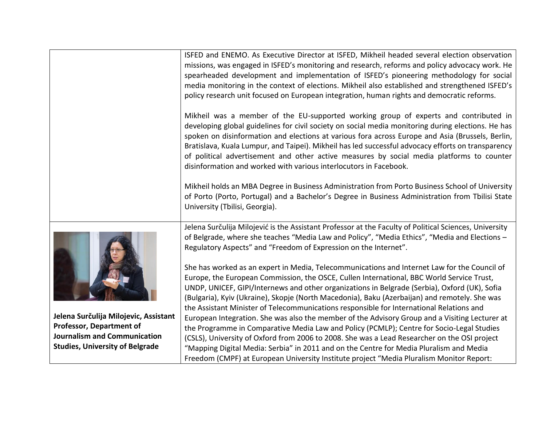|                                        | ISFED and ENEMO. As Executive Director at ISFED, Mikheil headed several election observation<br>missions, was engaged in ISFED's monitoring and research, reforms and policy advocacy work. He<br>spearheaded development and implementation of ISFED's pioneering methodology for social                                                                                                                                                                                                                                                                              |
|----------------------------------------|------------------------------------------------------------------------------------------------------------------------------------------------------------------------------------------------------------------------------------------------------------------------------------------------------------------------------------------------------------------------------------------------------------------------------------------------------------------------------------------------------------------------------------------------------------------------|
|                                        | media monitoring in the context of elections. Mikheil also established and strengthened ISFED's<br>policy research unit focused on European integration, human rights and democratic reforms.                                                                                                                                                                                                                                                                                                                                                                          |
|                                        | Mikheil was a member of the EU-supported working group of experts and contributed in<br>developing global guidelines for civil society on social media monitoring during elections. He has<br>spoken on disinformation and elections at various fora across Europe and Asia (Brussels, Berlin,<br>Bratislava, Kuala Lumpur, and Taipei). Mikheil has led successful advocacy efforts on transparency<br>of political advertisement and other active measures by social media platforms to counter<br>disinformation and worked with various interlocutors in Facebook. |
|                                        | Mikheil holds an MBA Degree in Business Administration from Porto Business School of University<br>of Porto (Porto, Portugal) and a Bachelor's Degree in Business Administration from Tbilisi State<br>University (Tbilisi, Georgia).                                                                                                                                                                                                                                                                                                                                  |
|                                        | Jelena Surčulija Milojević is the Assistant Professor at the Faculty of Political Sciences, University                                                                                                                                                                                                                                                                                                                                                                                                                                                                 |
|                                        | of Belgrade, where she teaches "Media Law and Policy", "Media Ethics", "Media and Elections -<br>Regulatory Aspects" and "Freedom of Expression on the Internet".                                                                                                                                                                                                                                                                                                                                                                                                      |
|                                        | She has worked as an expert in Media, Telecommunications and Internet Law for the Council of                                                                                                                                                                                                                                                                                                                                                                                                                                                                           |
|                                        | Europe, the European Commission, the OSCE, Cullen International, BBC World Service Trust,                                                                                                                                                                                                                                                                                                                                                                                                                                                                              |
|                                        | UNDP, UNICEF, GIPI/Internews and other organizations in Belgrade (Serbia), Oxford (UK), Sofia<br>(Bulgaria), Kyiv (Ukraine), Skopje (North Macedonia), Baku (Azerbaijan) and remotely. She was                                                                                                                                                                                                                                                                                                                                                                         |
|                                        | the Assistant Minister of Telecommunications responsible for International Relations and                                                                                                                                                                                                                                                                                                                                                                                                                                                                               |
| Jelena Surčulija Milojevic, Assistant  | European Integration. She was also the member of the Advisory Group and a Visiting Lecturer at                                                                                                                                                                                                                                                                                                                                                                                                                                                                         |
| <b>Professor, Department of</b>        | the Programme in Comparative Media Law and Policy (PCMLP); Centre for Socio-Legal Studies                                                                                                                                                                                                                                                                                                                                                                                                                                                                              |
| <b>Journalism and Communication</b>    | (CSLS), University of Oxford from 2006 to 2008. She was a Lead Researcher on the OSI project                                                                                                                                                                                                                                                                                                                                                                                                                                                                           |
| <b>Studies, University of Belgrade</b> | "Mapping Digital Media: Serbia" in 2011 and on the Centre for Media Pluralism and Media                                                                                                                                                                                                                                                                                                                                                                                                                                                                                |
|                                        | Freedom (CMPF) at European University Institute project "Media Pluralism Monitor Report:                                                                                                                                                                                                                                                                                                                                                                                                                                                                               |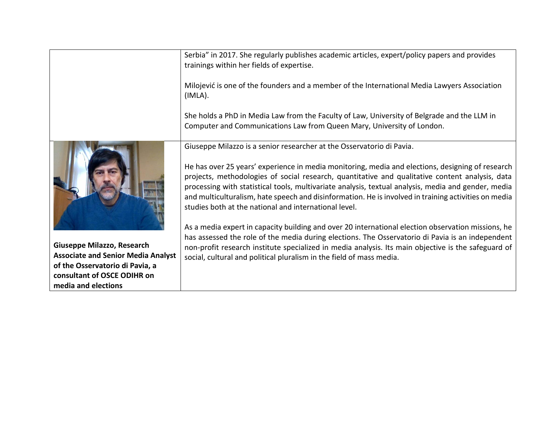Serbia" in 2017. She regularly publishes academic articles, expert/policy papers and provides trainings within her fields of expertise.

Milojević is one of the founders and a member of the International Media Lawyers Association (IMLA).

She holds a PhD in Media Law from the Faculty of Law, University of Belgrade and the LLM in Computer and Communications Law from Queen Mary, University of London.



**Giuseppe Milazzo, Research Associate and Senior Media Analyst of the Osservatorio di Pavia, a consultant of OSCE ODIHR on media and elections**

Giuseppe Milazzo is a senior researcher at the Osservatorio di Pavia.

He has over 25 years' experience in media monitoring, media and elections, designing of research projects, methodologies of social research, quantitative and qualitative content analysis, data processing with statistical tools, multivariate analysis, textual analysis, media and gender, media and multiculturalism, hate speech and disinformation. He is involved in training activities on media studies both at the national and international level.

As a media expert in capacity building and over 20 international election observation missions, he has assessed the role of the media during elections. The Osservatorio di Pavia is an independent non-profit research institute specialized in media analysis. Its main objective is the safeguard of social, cultural and political pluralism in the field of mass media.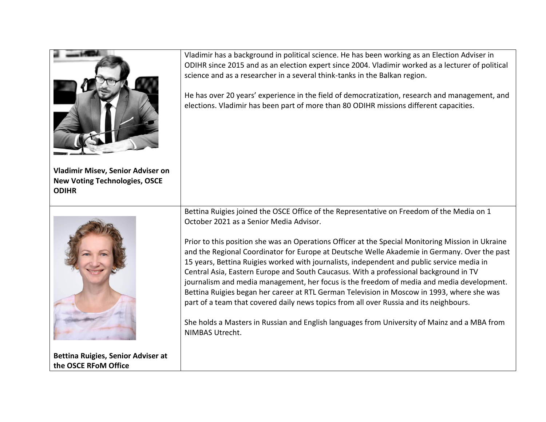| Vladimir Misev, Senior Adviser on<br><b>New Voting Technologies, OSCE</b><br><b>ODIHR</b> | Vladimir has a background in political science. He has been working as an Election Adviser in<br>ODIHR since 2015 and as an election expert since 2004. Vladimir worked as a lecturer of political<br>science and as a researcher in a several think-tanks in the Balkan region.<br>He has over 20 years' experience in the field of democratization, research and management, and<br>elections. Vladimir has been part of more than 80 ODIHR missions different capacities.                                                                                                                                                                                                                                                                                                                                                                                                                                                             |
|-------------------------------------------------------------------------------------------|------------------------------------------------------------------------------------------------------------------------------------------------------------------------------------------------------------------------------------------------------------------------------------------------------------------------------------------------------------------------------------------------------------------------------------------------------------------------------------------------------------------------------------------------------------------------------------------------------------------------------------------------------------------------------------------------------------------------------------------------------------------------------------------------------------------------------------------------------------------------------------------------------------------------------------------|
| <b>Bettina Ruigies, Senior Adviser at</b>                                                 | Bettina Ruigies joined the OSCE Office of the Representative on Freedom of the Media on 1<br>October 2021 as a Senior Media Advisor.<br>Prior to this position she was an Operations Officer at the Special Monitoring Mission in Ukraine<br>and the Regional Coordinator for Europe at Deutsche Welle Akademie in Germany. Over the past<br>15 years, Bettina Ruigies worked with journalists, independent and public service media in<br>Central Asia, Eastern Europe and South Caucasus. With a professional background in TV<br>journalism and media management, her focus is the freedom of media and media development.<br>Bettina Ruigies began her career at RTL German Television in Moscow in 1993, where she was<br>part of a team that covered daily news topics from all over Russia and its neighbours.<br>She holds a Masters in Russian and English languages from University of Mainz and a MBA from<br>NIMBAS Utrecht. |
| the OSCE RFoM Office                                                                      |                                                                                                                                                                                                                                                                                                                                                                                                                                                                                                                                                                                                                                                                                                                                                                                                                                                                                                                                          |